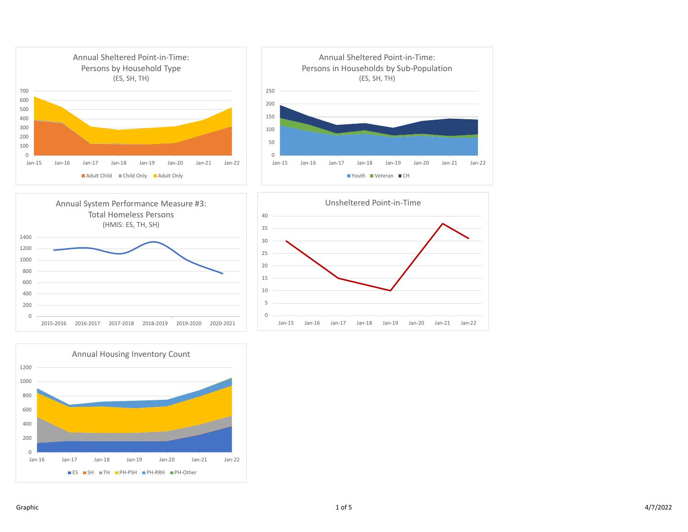







 $Jan-22$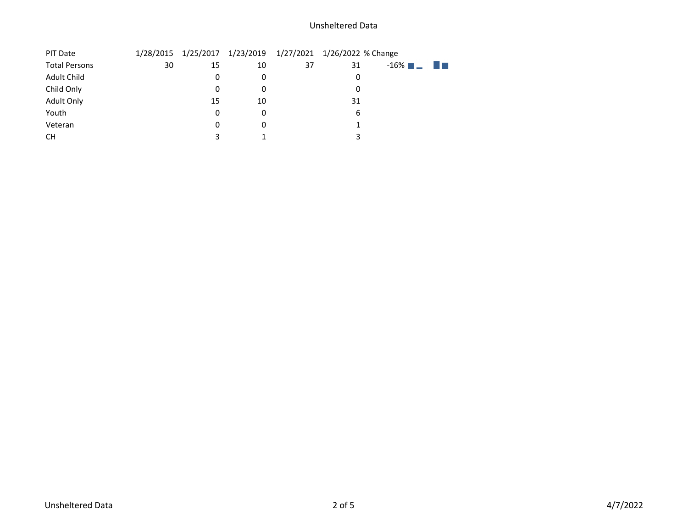## Unsheltered Data

| PIT Date             | 1/28/2015 |    |    |    | 1/25/2017 1/23/2019 1/27/2021 1/26/2022 % Change |                 |
|----------------------|-----------|----|----|----|--------------------------------------------------|-----------------|
| <b>Total Persons</b> | 30        | 15 | 10 | 37 | 31                                               | $-16\%$ $ \Box$ |
| Adult Child          |           | 0  | 0  |    | $\mathbf{0}$                                     |                 |
| Child Only           |           | 0  | 0  |    | 0                                                |                 |
| Adult Only           |           | 15 | 10 |    | 31                                               |                 |
| Youth                |           | 0  | 0  |    | 6                                                |                 |
| Veteran              |           | 0  | 0  |    |                                                  |                 |
| CН                   |           |    |    |    |                                                  |                 |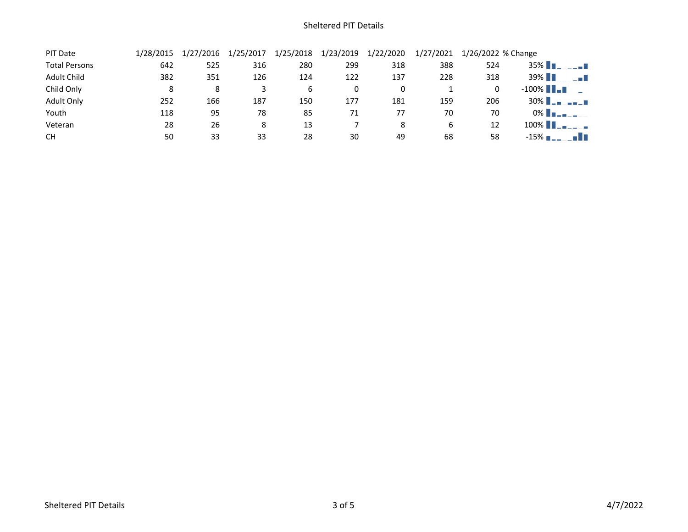| PIT Date             | 1/28/2015 | 1/27/2016 | 1/25/2017 | 1/25/2018 | 1/23/2019 | 1/22/2020 | 1/27/2021 | 1/26/2022 % Change |                         |
|----------------------|-----------|-----------|-----------|-----------|-----------|-----------|-----------|--------------------|-------------------------|
| <b>Total Persons</b> | 642       | 525       | 316       | 280       | 299       | 318       | 388       | 524                | $35\%$ $\blacksquare$   |
| <b>Adult Child</b>   | 382       | 351       | 126       | 124       | 122       | 137       | 228       | 318                | 39% <b>1</b><br>n a T   |
| Child Only           | 8         | 8         |           | 6         |           |           |           | 0                  | $-100\%$ $\blacksquare$ |
| Adult Only           | 252       | 166       | 187       | 150       | 177       | 181       | 159       | 206                | $30\%$ $\blacksquare$   |
| Youth                | 118       | 95        | 78        | 85        | 71        | 77        | 70        | 70                 | 0% <b>THE LEW</b>       |
| Veteran              | 28        | 26        | 8         | 13        |           | 8         | 6         | 12                 | $100\%$ $\blacksquare$  |
| <b>CH</b>            | 50        | 33        | 33        | 28        | 30        | 49        | 68        | 58                 | $-15\%$ $\blacksquare$  |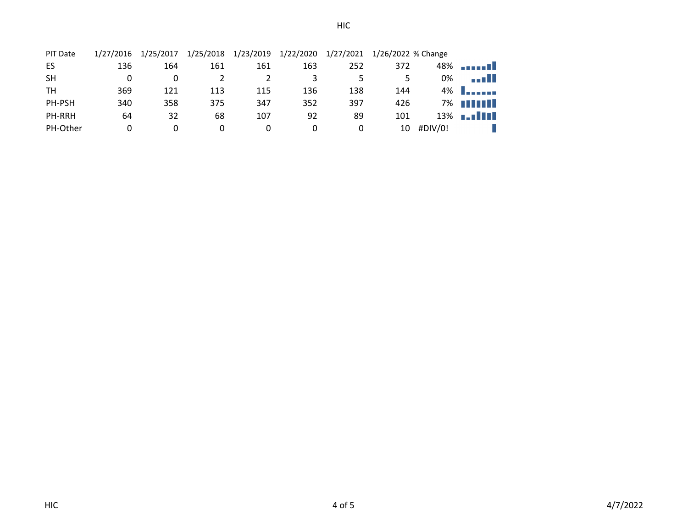| PIT Date      | 1/27/2016 | 1/25/2017 | 1/25/2018 | 1/23/2019 | 1/22/2020 | 1/27/2021 | 1/26/2022 % Change |         |                  |
|---------------|-----------|-----------|-----------|-----------|-----------|-----------|--------------------|---------|------------------|
| ES            | 136       | 164       | 161       | 161       | 163       | 252       | 372                |         |                  |
| <b>SH</b>     | 0         | 0         |           |           | 3         |           | 5                  | 0%      | an III           |
| TН            | 369       | 121       | 113       | 115       | 136       | 138       | 144                | 4%      | <b>Location</b>  |
| PH-PSH        | 340       | 358       | 375       | 347       | 352       | 397       | 426                | 7%      | n i Thomas       |
| <b>PH-RRH</b> | 64        | 32        | 68        | 107       | 92        | 89        | 101                |         | $13\%$ <b></b> T |
| PH-Other      | 0         | 0         | 0         |           | O         | 0         | 10                 | #DIV/0! |                  |